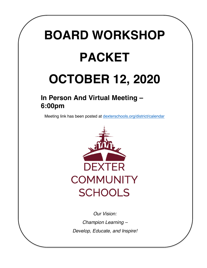# **BOARD WORKSHOP PACKET**

# **OCTOBER 12, 2020**

## **In Person And Virtual Meeting – 6:00pm**

Meeting link has been posted at [dexterschools.org/district/calendar](https://www.dexterschools.org/district/calendar)



*Our Vision: Champion Learning – Develop, Educate, and Inspire!*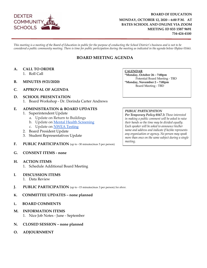

#### **BOARD OF EDUCATION MONDAY, OCTOBER 12, 2020 – 6:00 P.M. AT BATES SCHOOL AND ONLINE VIA ZOOM MEETING ID 833 1587 9691 734-424-4100**

*This meeting is a meeting of the Board of Education in public for the purpose of conducting the School District's business and is not to be considered a public community meeting. There is time for public participation during the meeting as indicated in the agenda below (Bylaw 0166).*

#### **BOARD MEETING AGENDA**

#### **A. CALL TO ORDER**

- 1. Roll Call
- **B. MINUTES (9/21/2020)**
- **C. APPROVAL OF AGENDA**
- **D. SCHOOL PRESENTATION** 1. Board Workshop - Dr. Dorinda Carter Andrews

#### **E. ADMINISTRATION & BOARD UPDATES**

- 1. Superintendent Update
	- a. Update on Return to Buildings
	- b. Update on [Mental Health Screening](https://docs.google.com/document/d/1mEmZcLrRqCvXSKhhJ5LEh8ufjxHhUxXAmXxBluxyO0M/edit?usp=sharing)
	- c. Update on [NWEA Testing](https://docs.google.com/document/d/1s-IN5oQNVuI7U72ONbkp_Idm4IbACnVW7L0VrVnnOsM/edit?usp=sharing)
- 2. Board President Update
- 3. Student Representatives Update
- **F. PUBLIC PARTICIPATION** (up to ~30 minutes/max 5 per person)
- **G. CONSENT ITEMS none**
- **H. ACTION ITEMS**
	- 1. Schedule Additional Board Meeting
- **I. DISCUSSION ITEMS**
	- 1. Data Review
- **J. PUBLIC PARTICIPATION** (up to ~15 minutes/max 3 per person) *See above.*
- **K. COMMITTEE UPDATES none planned**
- **L. BOARD COMMENTS**
- **M. INFORMATION ITEMS** 1. Nice Job Notes - June - September
- **N. CLOSED SESSION none planned**
- **O. ADJOURNMENT**

**CALENDAR** 

\*Monday, October 26 - 7:00pm Potential Board Meeting - TBD \*Monday, November 2-7:00pm Board Meeting - TBD

#### PUBLIC PARTICIPATION

Per Temporary Policy 0167.3: Those interested in making a public comment will be asked to raise their hands so the time may be divided equally. Each speaker will be asked to announce his/her name and address and indicate if he/she represents any organization or agency. No person may speak more than once on the same subject during a single meeting.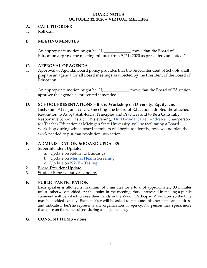#### **BOARD NOTES OCTOBER 12, 2020 – VIRTUAL MEETING**

#### **A. CALL TO ORDER**

1. Roll Call.

#### **B. MEETING MINUTES**

\* An appropriate motion might be, "I, \_\_\_\_\_\_\_\_\_\_\_\_\_, move that the Board of Education approve the meeting minutes from 9/21/2020 as presented/amended."

#### **C. APPROVAL OF AGENDA**

- 1. Approval of Agenda. Board policy provides that the Superintendent of Schools shall prepare an agenda for all Board meetings as directed by the President of the Board of Education.
- \* An appropriate motion might be, "I, \_\_\_\_\_\_\_\_\_\_\_\_, move that the Board of Education approve the agenda as presented/amended."
- **D. SCHOOL PRESENTATIONS Board Workshop on Diversity, Equity, and Inclusion.** At its June 29, 2020 meeting, the Board of Education adopted the attached Resolution to Adopt Anti-Racist Principles and Practices and to Be a Culturally Responsive School District. This evening, [Dr. Dorinda Carter Andrews](http://education.msu.edu/search/formview.aspx?email=dcarter%40msu.edu), Chairperson for Teacher Education at Michigan State University, will be facilitating a Board workshop during which board members will begin to identify, review, and plan the work needed to put that resolution into action.

#### **E. ADMINISTRATION & BOARD UPDATES**

- 1. Superintendent Update.
	- a. Update on Return to Buildings
	- b. Update on [Mental Health Screening](https://docs.google.com/document/d/1mEmZcLrRqCvXSKhhJ5LEh8ufjxHhUxXAmXxBluxyO0M/edit?usp=sharing)
	- c. Update on **[NWEA Testing](https://docs.google.com/document/d/1s-IN5oQNVuI7U72ONbkp_Idm4IbACnVW7L0VrVnnOsM/edit?usp=sharing)**
- 2. Board President Update.
- 3. Student Representatives Update.

#### **F. PUBLIC PARTICIPATION**

Each speaker is allotted a maximum of 5 minutes for a total of approximately 30 minutes unless otherwise notified. At this point in the meeting, those interested in making a public comment will be asked to raise their hands in the Zoom "Participants" window so the time may be divided equally. Each speaker will be asked to announce his/her name and address and indicate if he/she represents any organization or agency. No person may speak more than once on the same subject during a single meeting.

#### **G. CONSENT ITEMS – none**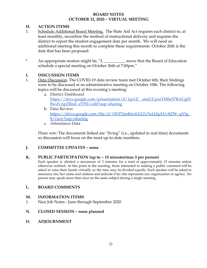#### **BOARD NOTES OCTOBER 12, 2020 – VIRTUAL MEETING**

#### **H. ACTION ITEMS**

- 1. Schedule Additional Board Meeting. The State Aid Act requires each district to, at least monthly, reconfirm the method of instructional delivery and requires the district to report the student engagement data per month. We will need an additional meeting this month to complete these requirements. October 26th is the date that has been proposed.
- \* An appropriate motion might be, "I, \_\_\_\_\_\_\_\_\_\_, move that the Board of Education schedule a special meeting on October 26th at 7:00pm."

#### **I. DISCUSSION ITEMS**

- 1. Data Discussion. The COVID-19 data review team met October 6th; their findings were to be discussed at an administrative meeting on October 10th. The following topics will be discussed at this evening's meeting:
	- a. District Dashboard [https://docs.google.com/presentation/d/1ps1Z\\_\\_siniUUpssYMSe57RACg03](https://docs.google.com/presentation/d/1ps1Z__siniUUpssYMSe57RACg03Bwd1ApZRnd_eY55I/edit?usp=sharing) [Bwd1ApZRnd\\_eY55I/edit?usp=sharing](https://docs.google.com/presentation/d/1ps1Z__siniUUpssYMSe57RACg03Bwd1ApZRnd_eY55I/edit?usp=sharing)
	- b. Data Review [https://drive.google.com/file/d/1WZYjmK6x0A21U5xLQqAUv8ZW--gVJg\\_](https://drive.google.com/file/d/1WZYjmK6x0A21U5xLQqAUv8ZW--gVJg_8/view?usp=sharing) [8/view?usp=sharing](https://drive.google.com/file/d/1WZYjmK6x0A21U5xLQqAUv8ZW--gVJg_8/view?usp=sharing)
	- c. Attendance Data

*Please note:* The documents linked are "living" (i.e., updated in real time) documents so discussion will focus on the most up-to-date numbers.

#### **J. COMMITTEE UPDATES – none**

#### **K. PUBLIC PARTICIPATION (up to ~ 15 minutes/max 3 per person)**

Each speaker is allotted a maximum of 3 minutes for a total of approximately 15 minutes unless otherwise notified. At this point in the meeting, those interested in making a public comment will be asked to raise their hands virtually so the time may be divided equally. Each speaker will be asked to announce his/her name and address and indicate if he/she represents any organization or agency. No person may speak more than once on the same subject during a single meeting.

#### **L. BOARD COMMENTS**

#### **M. INFORMATION ITEMS**

- 1. Nice Job Notes June through September 2020
- **N. CLOSED SESSION none planned**
- **O. ADJOURNMENT**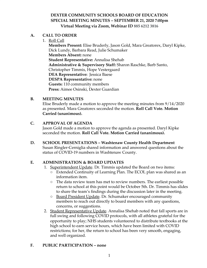#### **DEXTER COMMUNITY SCHOOLS BOARD OF EDUCATION SPECIAL MEETING MINUTES – SEPTEMBER 21, 2020 7:00pm Virtual Meeting via Zoom, Webinar ID 885 6212 3816**

#### **A. CALL TO ORDER**

1. Roll Call

**Members Present:** Elise Bruderly, Jason Gold, Mara Greatorex, Daryl Kipke, Dick Lundy, Barbara Read, Julie Schumaker **Members Absent:** none **Student Representative:** Annalisa Shehab **Administrative & Supervisory Staff:** Sharon Raschke, Barb Santo, Christopher Timmis, Hope Vestergaard **DEA Representative:** Jessica Baese **DESPA Representative:** none **Guests:** 110 community members **Press:** Aimee Osinski, Dexter Guardian

#### **B. MEETING MINUTES**

Elise Bruderly made a motion to approve the meeting minutes from 9/14/2020 as presented. Mara Greatorex seconded the motion. **Roll Call Vote. Motion Carried (unanimous).**

#### **C. APPROVAL OF AGENDA**

Jason Gold made a motion to approve the agenda as presented. Daryl Kipke seconded the motion. **Roll Call Vote. Motion Carried (unanimous).**

**D. SCHOOL PRESENTATIONS – Washtenaw County Health Department** Susan Ringler-Cerniglia shared information and answered questions about the status of COVID-19 numbers in Washtenaw County.

#### **E. ADMINISTRATION & BOARD UPDATES**

- 1. Superintendent Update. Dr. Timmis updated the Board on two items:
	- Extended Continuity of Learning Plan. The ECOL plan was shared as an information item.
	- The data review team has met to review numbers. The earliest possible return to school at this point would be October 5th. Dr. Timmis has slides to share the team's findings during the discussion later in the meeting.
	- Board President Update. Dr. Schumaker encouraged community members to reach out directly to board members with any questions, concerns, or suggestions.
- 2. Student Representative Update. Annalisa Shehab noted that fall sports are in full swing and following COVID protocols, with all athletes grateful for the opportunity to play; NHS students volunteered to distribute textbooks at the high school to earn service hours, which have been limited with COVID restrictions; for her, the return to school has been very smooth, engaging, and well organized.

#### **F. PUBLIC PARTICIPATION – none**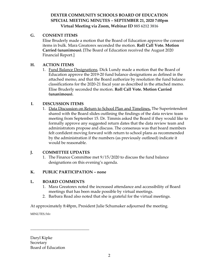#### **DEXTER COMMUNITY SCHOOLS BOARD OF EDUCATION SPECIAL MEETING MINUTES – SEPTEMBER 21, 2020 7:00pm Virtual Meeting via Zoom, Webinar ID 885 6212 3816**

#### **G. CONSENT ITEMS**

Elise Bruderly made a motion that the Board of Education approve the consent items in bulk. Mara Greatorex seconded the motion. **Roll Call Vote. Motion Carried (unanimous). [**The Board of Education received the August 2020 Financial Report.]

#### **H. ACTION ITEMS**

1. Fund Balance Designations. Dick Lundy made a motion that the Board of Education approve the 2019-20 fund balance designations as defined in the attached memo, and that the Board authorize by resolution the fund balance classifications for the 2020-21 fiscal year as described in the attached memo. Elise Bruderly seconded the motion. **Roll Call Vote. Motion Carried (unanimous).**

#### **I. DISCUSSION ITEMS**

1. Data Discussion on Return to School Plan and Timelines**.** The Superintendent shared with the Board slides outlining the findings of the data review team meeting from September 15. Dr. Timmis asked the Board if they would like to formally approve any suggested return dates that the data review team and administrators propose and discuss. The consensus was that board members felt confident moving forward with return to school plans as recommended by the administration if the numbers (as previously outlined) indicate it would be reasonable.

#### **J. COMMITTEE UPDATES**

1. The Finance Committee met 9/15/2020 to discuss the fund balance designations on this evening's agenda.

#### **K. PUBLIC PARTICIPATION – none**

#### **L. BOARD COMMENTS**

 $\_$ 

- 1. Mara Greatorex noted the increased attendance and accessibility of Board meetings that has been made possible by virtual meetings.
- 2. Barbara Read also noted that she is grateful for the virtual meetings.

At approximately 8:48pm, President Julie Schumaker adjourned the meeting.

MINUTES/hlv

Daryl Kipke **Secretary** Board of Education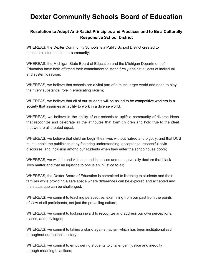### **Dexter Community Schools Board of Education**

#### **Resolution to Adopt Anti-Racist Principles and Practices and to Be a Culturally Responsive School District**

WHEREAS, the Dexter Community Schools is a Public School District created to educate all students in our community;

WHEREAS, the Michigan State Board of Education and the Michigan Department of Education have both affirmed their commitment to stand firmly against all acts of individual and systemic racism;

WHEREAS, we believe that schools are a vital part of a much larger world and need to play their very substantial role in eradicating racism;

WHEREAS, we believe that all of our students will be asked to be competitive workers in a society that assumes an ability to work in a diverse world.

WHEREAS, we believe in the ability of our schools to uplift a community of diverse ideas that recognize and celebrate all the attributes that form children and hold true to the ideal that we are all created equal;

WHEREAS, we believe that children begin their lives without hatred and bigotry, and that DCS must uphold the public's trust by fostering understanding, acceptance, respectful civic discourse, and inclusion among our students when they enter the schoolhouse doors;

WHEREAS, we wish to end violence and injustices and unequivocally declare that black lives matter and that an injustice to one is an injustice to all;

WHEREAS, the Dexter Board of Education is committed to listening to students and their families while providing a safe space where differences can be explored and accepted and the status quo can be challenged;

WHEREAS, we commit to teaching perspective: examining from our past from the points of view of all participants, not just the prevailing culture;

WHEREAS, we commit to looking inward to recognize and address our own perceptions, biases, and privileges;

WHEREAS, we commit to taking a stand against racism which has been institutionalized throughout our nation's history;

WHEREAS, we commit to empowering students to challenge injustice and inequity through meaningful actions;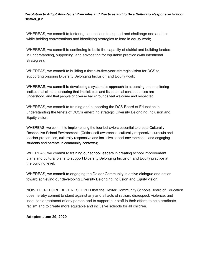#### *Resolution to Adopt Anti-Racist Principles and Practices and to Be a Culturally Responsive School District\_p.2*

WHEREAS, we commit to fostering connections to support and challenge one another while holding conversations and identifying strategies to lead in equity work;

WHEREAS, we commit to continuing to build the capacity of district and building leaders in understanding, supporting, and advocating for equitable practice (with intentional strategies);

WHEREAS, we commit to building a three-to-five-year strategic vision for DCS to supporting ongoing Diversity Belonging Inclusion and Equity work;

WHEREAS, we commit to developing a systematic approach to assessing and monitoring institutional climate, ensuring that implicit bias and its potential consequences are understood, and that people of diverse backgrounds feel welcome and respected;

WHEREAS, we commit to training and supporting the DCS Board of Education in understanding the tenets of DCS's emerging strategic Diversity Belonging Inclusion and Equity vision;

WHEREAS, we commit to implementing the four behaviors essential to create Culturally Responsive School Environments (Critical self-awareness, culturally responsive curricula and teacher preparation, culturally responsive and inclusive school environments, and engaging students and parents in community contexts);

WHEREAS, we commit to training our school leaders in creating school improvement plans and cultural plans to support Diversity Belonging Inclusion and Equity practice at the building level;

WHEREAS, we commit to engaging the Dexter Community in active dialogue and action toward achieving our developing Diversity Belonging Inclusion and Equity vision;

NOW THEREFORE BE IT RESOLVED that the Dexter Community Schools Board of Education does hereby commit to stand against any and all acts of racism, disrespect, violence, and inequitable treatment of any person and to support our staff in their efforts to help eradicate racism and to create more equitable and inclusive schools for all children.

**Adopted June 29, 2020**